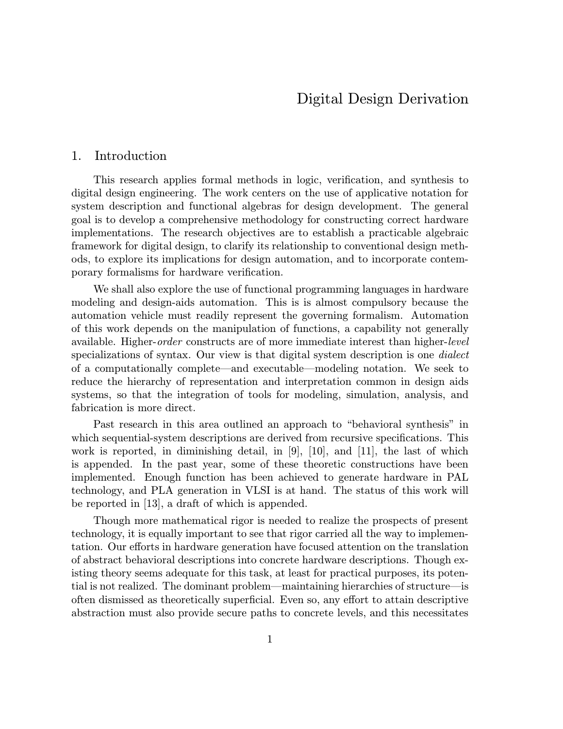# Digital Design Derivation

## 1. Introduction

This research applies formal methods in logic, verification, and synthesis to digital design engineering. The work centers on the use of applicative notation for system description and functional algebras for design development. The general goal is to develop a comprehensive methodology for constructing correct hardware implementations. The research objectives are to establish a practicable algebraic framework for digital design, to clarify its relationship to conventional design methods, to explore its implications for design automation, and to incorporate contemporary formalisms for hardware verification.

We shall also explore the use of functional programming languages in hardware modeling and design-aids automation. This is is almost compulsory because the automation vehicle must readily represent the governing formalism. Automation of this work depends on the manipulation of functions, a capability not generally available. Higher-order constructs are of more immediate interest than higher-level specializations of syntax. Our view is that digital system description is one *dialect* of a computationally complete—and executable—modeling notation. We seek to reduce the hierarchy of representation and interpretation common in design aids systems, so that the integration of tools for modeling, simulation, analysis, and fabrication is more direct.

Past research in this area outlined an approach to "behavioral synthesis" in which sequential-system descriptions are derived from recursive specifications. This work is reported, in diminishing detail, in [9], [10], and [11], the last of which is appended. In the past year, some of these theoretic constructions have been implemented. Enough function has been achieved to generate hardware in PAL technology, and PLA generation in VLSI is at hand. The status of this work will be reported in [13], a draft of which is appended.

Though more mathematical rigor is needed to realize the prospects of present technology, it is equally important to see that rigor carried all the way to implementation. Our efforts in hardware generation have focused attention on the translation of abstract behavioral descriptions into concrete hardware descriptions. Though existing theory seems adequate for this task, at least for practical purposes, its potential is not realized. The dominant problem—maintaining hierarchies of structure—is often dismissed as theoretically superficial. Even so, any effort to attain descriptive abstraction must also provide secure paths to concrete levels, and this necessitates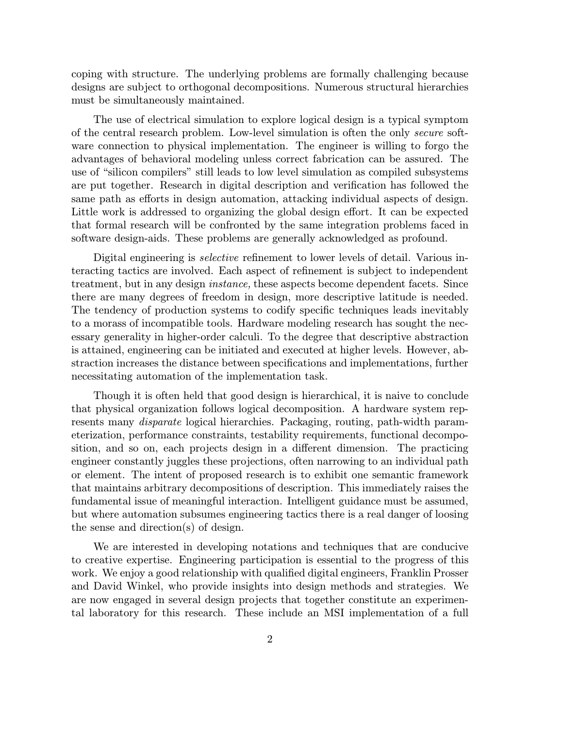coping with structure. The underlying problems are formally challenging because designs are subject to orthogonal decompositions. Numerous structural hierarchies must be simultaneously maintained.

The use of electrical simulation to explore logical design is a typical symptom of the central research problem. Low-level simulation is often the only secure software connection to physical implementation. The engineer is willing to forgo the advantages of behavioral modeling unless correct fabrication can be assured. The use of "silicon compilers" still leads to low level simulation as compiled subsystems are put together. Research in digital description and verification has followed the same path as efforts in design automation, attacking individual aspects of design. Little work is addressed to organizing the global design effort. It can be expected that formal research will be confronted by the same integration problems faced in software design-aids. These problems are generally acknowledged as profound.

Digital engineering is selective refinement to lower levels of detail. Various interacting tactics are involved. Each aspect of refinement is subject to independent treatment, but in any design instance, these aspects become dependent facets. Since there are many degrees of freedom in design, more descriptive latitude is needed. The tendency of production systems to codify specific techniques leads inevitably to a morass of incompatible tools. Hardware modeling research has sought the necessary generality in higher-order calculi. To the degree that descriptive abstraction is attained, engineering can be initiated and executed at higher levels. However, abstraction increases the distance between specifications and implementations, further necessitating automation of the implementation task.

Though it is often held that good design is hierarchical, it is naive to conclude that physical organization follows logical decomposition. A hardware system represents many disparate logical hierarchies. Packaging, routing, path-width parameterization, performance constraints, testability requirements, functional decomposition, and so on, each projects design in a different dimension. The practicing engineer constantly juggles these projections, often narrowing to an individual path or element. The intent of proposed research is to exhibit one semantic framework that maintains arbitrary decompositions of description. This immediately raises the fundamental issue of meaningful interaction. Intelligent guidance must be assumed, but where automation subsumes engineering tactics there is a real danger of loosing the sense and direction(s) of design.

We are interested in developing notations and techniques that are conducive to creative expertise. Engineering participation is essential to the progress of this work. We enjoy a good relationship with qualified digital engineers, Franklin Prosser and David Winkel, who provide insights into design methods and strategies. We are now engaged in several design projects that together constitute an experimental laboratory for this research. These include an MSI implementation of a full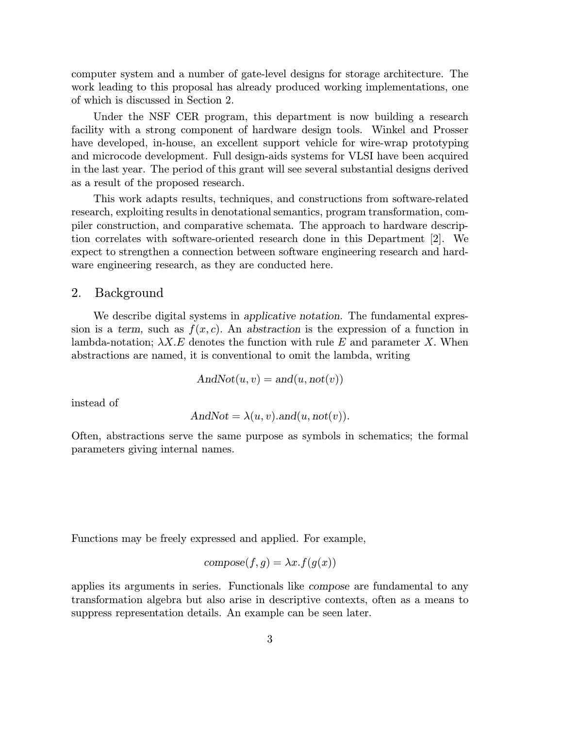computer system and a number of gate-level designs for storage architecture. The work leading to this proposal has already produced working implementations, one of which is discussed in Section 2.

Under the NSF CER program, this department is now building a research facility with a strong component of hardware design tools. Winkel and Prosser have developed, in-house, an excellent support vehicle for wire-wrap prototyping and microcode development. Full design-aids systems for VLSI have been acquired in the last year. The period of this grant will see several substantial designs derived as a result of the proposed research.

This work adapts results, techniques, and constructions from software-related research, exploiting results in denotational semantics, program transformation, compiler construction, and comparative schemata. The approach to hardware description correlates with software-oriented research done in this Department [2]. We expect to strengthen a connection between software engineering research and hardware engineering research, as they are conducted here.

#### 2. Background

We describe digital systems in applicative notation. The fundamental expression is a term, such as  $f(x, c)$ . An abstraction is the expression of a function in lambda-notation;  $\lambda X.E$  denotes the function with rule E and parameter X. When abstractions are named, it is conventional to omit the lambda, writing

$$
AndNot(u, v) = and(u, not(v))
$$

instead of

$$
AndNot = \lambda(u, v).and(u, not(v)).
$$

Often, abstractions serve the same purpose as symbols in schematics; the formal parameters giving internal names.

Functions may be freely expressed and applied. For example,

$$
composite(f, g) = \lambda x.f(g(x))
$$

applies its arguments in series. Functionals like compose are fundamental to any transformation algebra but also arise in descriptive contexts, often as a means to suppress representation details. An example can be seen later.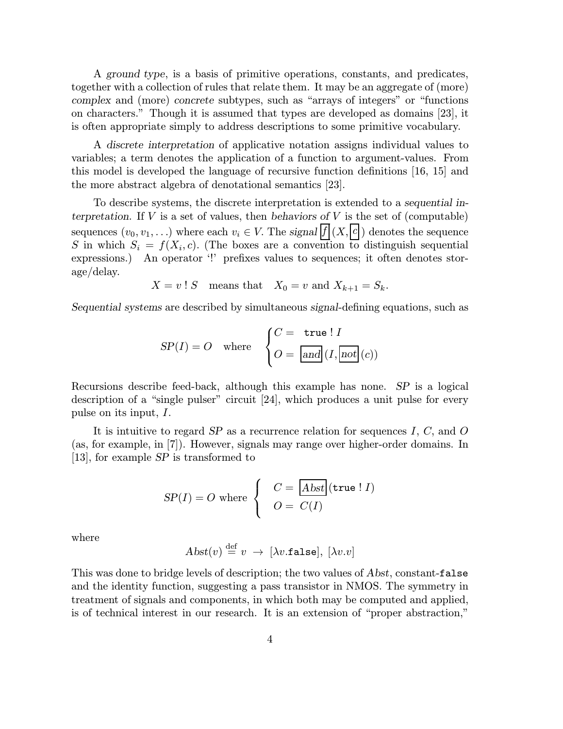A ground type, is a basis of primitive operations, constants, and predicates, together with a collection of rules that relate them. It may be an aggregate of (more) complex and (more) concrete subtypes, such as "arrays of integers" or "functions on characters." Though it is assumed that types are developed as domains [23], it is often appropriate simply to address descriptions to some primitive vocabulary.

A discrete interpretation of applicative notation assigns individual values to variables; a term denotes the application of a function to argument-values. From this model is developed the language of recursive function definitions [16, 15] and the more abstract algebra of denotational semantics [23].

To describe systems, the discrete interpretation is extended to a sequential interpretation. If  $V$  is a set of values, then behaviors of  $V$  is the set of (computable) sequences  $(v_0, v_1, \ldots)$  where each  $v_i \in V$ . The signal  $f(x, c)$  denotes the sequence S in which  $S_i = f(X_i, c)$ . (The boxes are a convention to distinguish sequential expressions.) An operator '!' prefixes values to sequences; it often denotes storage/delay.

$$
X = v : S \quad \text{means that} \quad X_0 = v \text{ and } X_{k+1} = S_k.
$$

Sequential systems are described by simultaneous signal-defining equations, such as

$$
SP(I) = O \quad \text{where} \quad \begin{cases} C = \text{ true } ! \ I \\ O = \text{ and } (I, \text{ not } (c)) \end{cases}
$$

Recursions describe feed-back, although this example has none. SP is a logical description of a "single pulser" circuit [24], which produces a unit pulse for every pulse on its input, I.

It is intuitive to regard  $SP$  as a recurrence relation for sequences  $I, C$ , and  $O$ (as, for example, in [7]). However, signals may range over higher-order domains. In [13], for example SP is transformed to

$$
SP(I) = O \text{ where } \begin{cases} C = \boxed{Abst}(\text{true} \mid I) \\ O = C(I) \end{cases}
$$

where

$$
Abst(v) \stackrel{\text{def}}{=} v \rightarrow [\lambda v.\mathtt{false}], [\lambda v.v]
$$

This was done to bridge levels of description; the two values of Abst, constant-false and the identity function, suggesting a pass transistor in NMOS. The symmetry in treatment of signals and components, in which both may be computed and applied, is of technical interest in our research. It is an extension of "proper abstraction,"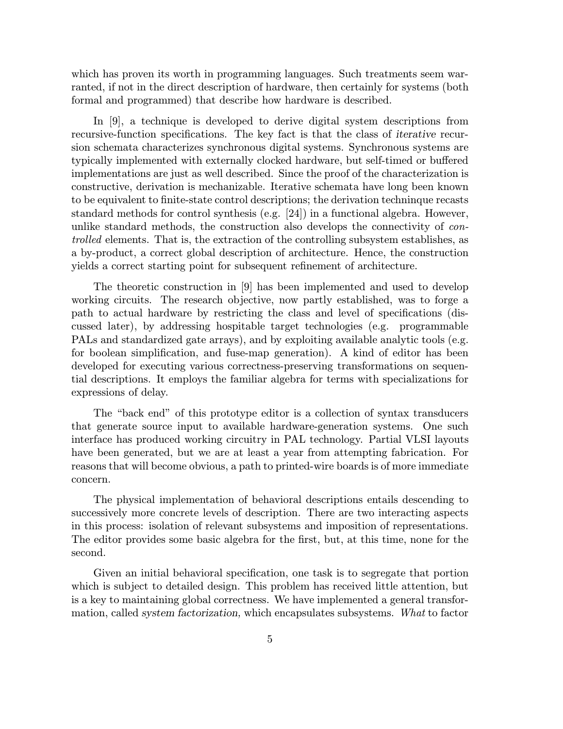which has proven its worth in programming languages. Such treatments seem warranted, if not in the direct description of hardware, then certainly for systems (both formal and programmed) that describe how hardware is described.

In [9], a technique is developed to derive digital system descriptions from recursive-function specifications. The key fact is that the class of iterative recursion schemata characterizes synchronous digital systems. Synchronous systems are typically implemented with externally clocked hardware, but self-timed or buffered implementations are just as well described. Since the proof of the characterization is constructive, derivation is mechanizable. Iterative schemata have long been known to be equivalent to finite-state control descriptions; the derivation techninque recasts standard methods for control synthesis (e.g. [24]) in a functional algebra. However, unlike standard methods, the construction also develops the connectivity of controlled elements. That is, the extraction of the controlling subsystem establishes, as a by-product, a correct global description of architecture. Hence, the construction yields a correct starting point for subsequent refinement of architecture.

The theoretic construction in [9] has been implemented and used to develop working circuits. The research objective, now partly established, was to forge a path to actual hardware by restricting the class and level of specifications (discussed later), by addressing hospitable target technologies (e.g. programmable PALs and standardized gate arrays), and by exploiting available analytic tools (e.g. for boolean simplification, and fuse-map generation). A kind of editor has been developed for executing various correctness-preserving transformations on sequential descriptions. It employs the familiar algebra for terms with specializations for expressions of delay.

The "back end" of this prototype editor is a collection of syntax transducers that generate source input to available hardware-generation systems. One such interface has produced working circuitry in PAL technology. Partial VLSI layouts have been generated, but we are at least a year from attempting fabrication. For reasons that will become obvious, a path to printed-wire boards is of more immediate concern.

The physical implementation of behavioral descriptions entails descending to successively more concrete levels of description. There are two interacting aspects in this process: isolation of relevant subsystems and imposition of representations. The editor provides some basic algebra for the first, but, at this time, none for the second.

Given an initial behavioral specification, one task is to segregate that portion which is subject to detailed design. This problem has received little attention, but is a key to maintaining global correctness. We have implemented a general transformation, called system factorization, which encapsulates subsystems. What to factor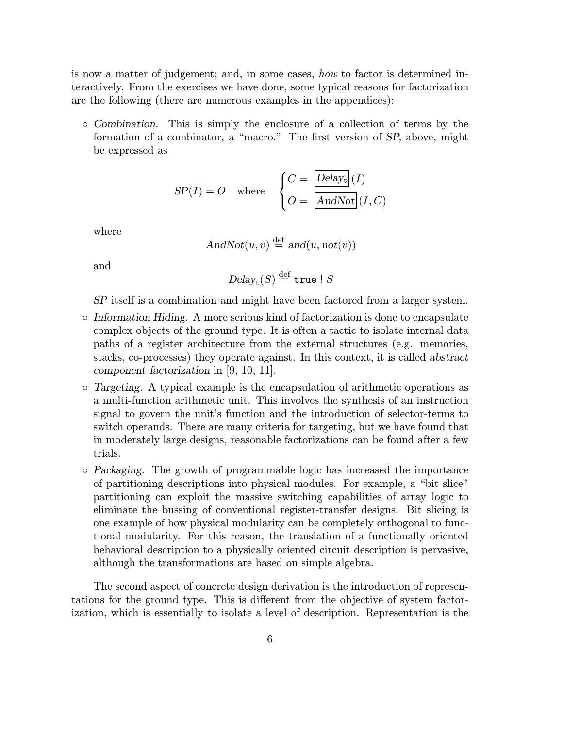is now a matter of judgement; and, in some cases, how to factor is determined interactively. From the exercises we have done, some typical reasons for factorization are the following (there are numerous examples in the appendices):

◦ Combination. This is simply the enclosure of a collection of terms by the formation of a combinator, a "macro." The first version of SP, above, might be expressed as

$$
SP(I) = O \quad \text{where} \quad \begin{cases} C = \boxed{Delay_{t}}(I) \\ O = \boxed{AndNot}(I, C) \end{cases}
$$

where

$$
AndNot(u, v) \stackrel{\text{def}}{=} and (u, not(v))
$$

and

$$
Delay_{\mathsf{t}}(S) \stackrel{\rm def}{=} \mathtt{true}~!~S
$$

SP itself is a combination and might have been factored from a larger system.

- Information Hiding. A more serious kind of factorization is done to encapsulate complex objects of the ground type. It is often a tactic to isolate internal data paths of a register architecture from the external structures (e.g. memories, stacks, co-processes) they operate against. In this context, it is called abstract component factorization in [9, 10, 11].
- Targeting. A typical example is the encapsulation of arithmetic operations as a multi-function arithmetic unit. This involves the synthesis of an instruction signal to govern the unit's function and the introduction of selector-terms to switch operands. There are many criteria for targeting, but we have found that in moderately large designs, reasonable factorizations can be found after a few trials.
- Packaging. The growth of programmable logic has increased the importance of partitioning descriptions into physical modules. For example, a "bit slice" partitioning can exploit the massive switching capabilities of array logic to eliminate the bussing of conventional register-transfer designs. Bit slicing is one example of how physical modularity can be completely orthogonal to functional modularity. For this reason, the translation of a functionally oriented behavioral description to a physically oriented circuit description is pervasive, although the transformations are based on simple algebra.

The second aspect of concrete design derivation is the introduction of representations for the ground type. This is different from the objective of system factorization, which is essentially to isolate a level of description. Representation is the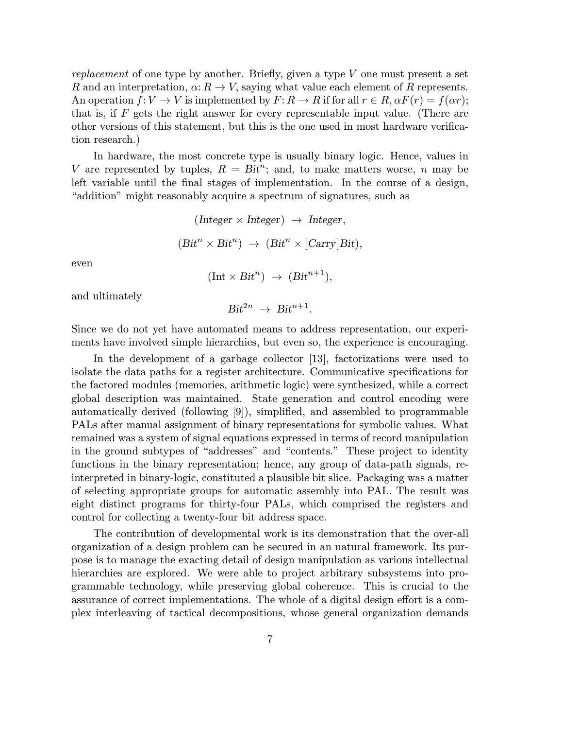replacement of one type by another. Briefly, given a type  $V$  one must present a set R and an interpretation,  $\alpha: R \to V$ , saying what value each element of R represents. An operation  $f: V \to V$  is implemented by  $F: R \to R$  if for all  $r \in R$ ,  $\alpha F(r) = f(\alpha r)$ ; that is, if  $F$  gets the right answer for every representable input value. (There are other versions of this statement, but this is the one used in most hardware verification research.)

In hardware, the most concrete type is usually binary logic. Hence, values in V are represented by tuples,  $R = Bit^{n}$ ; and, to make matters worse, n may be left variable until the final stages of implementation. In the course of a design, "addition" might reasonably acquire a spectrum of signatures, such as

$$
(\text{Integer} \times \text{Integer}) \rightarrow \text{Integer},
$$
  

$$
(\text{Bit}^n \times \text{Bit}^n) \rightarrow (\text{Bit}^n \times [\text{Carry}] \text{Bit}),
$$
  

$$
(\text{Int} \times \text{Bit}^n) \rightarrow (\text{Bit}^{n+1}),
$$

and ultimately

even

$$
Bit^{2n} \ \to \ Bit^{n+1}.
$$

Since we do not yet have automated means to address representation, our experiments have involved simple hierarchies, but even so, the experience is encouraging.

In the development of a garbage collector [13], factorizations were used to isolate the data paths for a register architecture. Communicative specifications for the factored modules (memories, arithmetic logic) were synthesized, while a correct global description was maintained. State generation and control encoding were automatically derived (following [9]), simplified, and assembled to programmable PALs after manual assignment of binary representations for symbolic values. What remained was a system of signal equations expressed in terms of record manipulation in the ground subtypes of "addresses" and "contents." These project to identity functions in the binary representation; hence, any group of data-path signals, reinterpreted in binary-logic, constituted a plausible bit slice. Packaging was a matter of selecting appropriate groups for automatic assembly into PAL. The result was eight distinct programs for thirty-four PALs, which comprised the registers and control for collecting a twenty-four bit address space.

The contribution of developmental work is its demonstration that the over-all organization of a design problem can be secured in an natural framework. Its purpose is to manage the exacting detail of design manipulation as various intellectual hierarchies are explored. We were able to project arbitrary subsystems into programmable technology, while preserving global coherence. This is crucial to the assurance of correct implementations. The whole of a digital design effort is a complex interleaving of tactical decompositions, whose general organization demands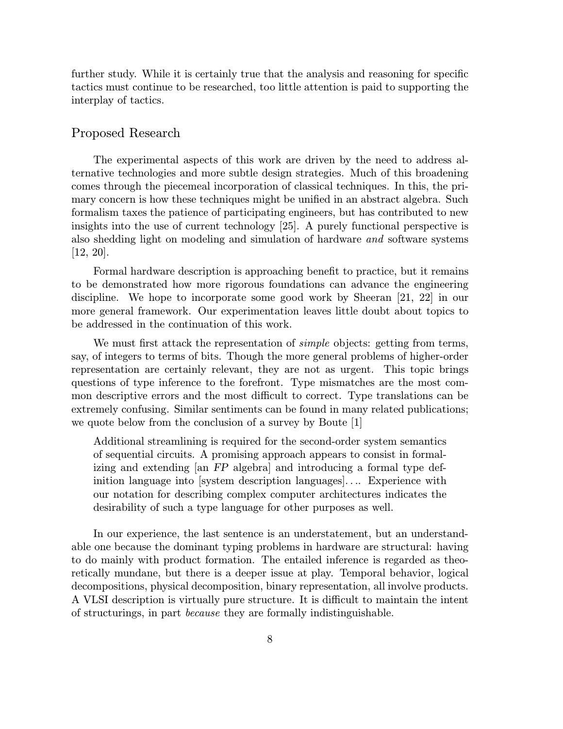further study. While it is certainly true that the analysis and reasoning for specific tactics must continue to be researched, too little attention is paid to supporting the interplay of tactics.

# Proposed Research

The experimental aspects of this work are driven by the need to address alternative technologies and more subtle design strategies. Much of this broadening comes through the piecemeal incorporation of classical techniques. In this, the primary concern is how these techniques might be unified in an abstract algebra. Such formalism taxes the patience of participating engineers, but has contributed to new insights into the use of current technology [25]. A purely functional perspective is also shedding light on modeling and simulation of hardware and software systems [12, 20].

Formal hardware description is approaching benefit to practice, but it remains to be demonstrated how more rigorous foundations can advance the engineering discipline. We hope to incorporate some good work by Sheeran [21, 22] in our more general framework. Our experimentation leaves little doubt about topics to be addressed in the continuation of this work.

We must first attack the representation of *simple* objects: getting from terms, say, of integers to terms of bits. Though the more general problems of higher-order representation are certainly relevant, they are not as urgent. This topic brings questions of type inference to the forefront. Type mismatches are the most common descriptive errors and the most difficult to correct. Type translations can be extremely confusing. Similar sentiments can be found in many related publications; we quote below from the conclusion of a survey by Boute [1]

Additional streamlining is required for the second-order system semantics of sequential circuits. A promising approach appears to consist in formalizing and extending [an FP algebra] and introducing a formal type definition language into [system description languages]. . .. Experience with our notation for describing complex computer architectures indicates the desirability of such a type language for other purposes as well.

In our experience, the last sentence is an understatement, but an understandable one because the dominant typing problems in hardware are structural: having to do mainly with product formation. The entailed inference is regarded as theoretically mundane, but there is a deeper issue at play. Temporal behavior, logical decompositions, physical decomposition, binary representation, all involve products. A VLSI description is virtually pure structure. It is difficult to maintain the intent of structurings, in part because they are formally indistinguishable.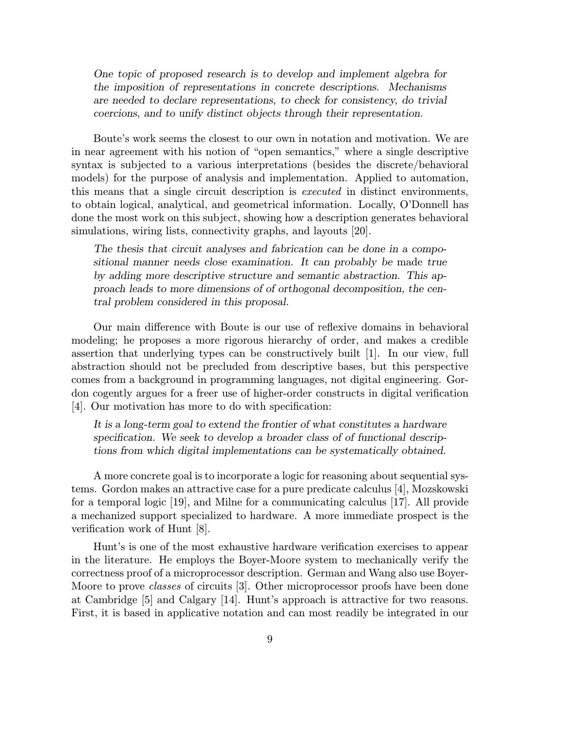One topic of proposed research is to develop and implement algebra for the imposition of representations in concrete descriptions. Mechanisms are needed to declare representations, to check for consistency, do trivial coercions, and to unify distinct objects through their representation.

Boute's work seems the closest to our own in notation and motivation. We are in near agreement with his notion of "open semantics," where a single descriptive syntax is subjected to a various interpretations (besides the discrete/behavioral models) for the purpose of analysis and implementation. Applied to automation, this means that a single circuit description is executed in distinct environments, to obtain logical, analytical, and geometrical information. Locally, O'Donnell has done the most work on this subject, showing how a description generates behavioral simulations, wiring lists, connectivity graphs, and layouts [20].

The thesis that circuit analyses and fabrication can be done in a compositional manner needs close examination. It can probably be made true by adding more descriptive structure and semantic abstraction. This approach leads to more dimensions of of orthogonal decomposition, the central problem considered in this proposal.

Our main difference with Boute is our use of reflexive domains in behavioral modeling; he proposes a more rigorous hierarchy of order, and makes a credible assertion that underlying types can be constructively built [1]. In our view, full abstraction should not be precluded from descriptive bases, but this perspective comes from a background in programming languages, not digital engineering. Gordon cogently argues for a freer use of higher-order constructs in digital verification [4]. Our motivation has more to do with specification:

It is a long-term goal to extend the frontier of what constitutes a hardware specification. We seek to develop a broader class of of functional descriptions from which digital implementations can be systematically obtained.

A more concrete goal is to incorporate a logic for reasoning about sequential systems. Gordon makes an attractive case for a pure predicate calculus [4], Mozskowski for a temporal logic [19], and Milne for a communicating calculus [17]. All provide a mechanized support specialized to hardware. A more immediate prospect is the verification work of Hunt [8].

Hunt's is one of the most exhaustive hardware verification exercises to appear in the literature. He employs the Boyer-Moore system to mechanically verify the correctness proof of a microprocessor description. German and Wang also use Boyer-Moore to prove classes of circuits [3]. Other microprocessor proofs have been done at Cambridge [5] and Calgary [14]. Hunt's approach is attractive for two reasons. First, it is based in applicative notation and can most readily be integrated in our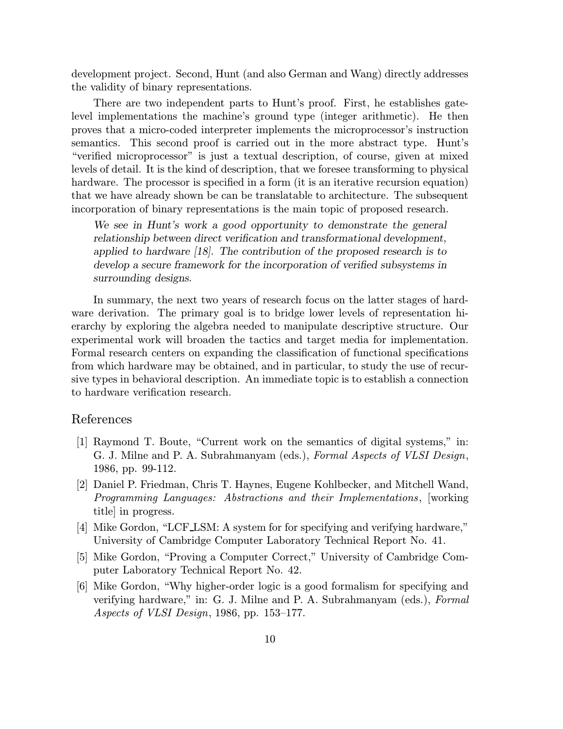development project. Second, Hunt (and also German and Wang) directly addresses the validity of binary representations.

There are two independent parts to Hunt's proof. First, he establishes gatelevel implementations the machine's ground type (integer arithmetic). He then proves that a micro-coded interpreter implements the microprocessor's instruction semantics. This second proof is carried out in the more abstract type. Hunt's "verified microprocessor" is just a textual description, of course, given at mixed levels of detail. It is the kind of description, that we foresee transforming to physical hardware. The processor is specified in a form (it is an iterative recursion equation) that we have already shown be can be translatable to architecture. The subsequent incorporation of binary representations is the main topic of proposed research.

We see in Hunt's work a good opportunity to demonstrate the general relationship between direct verification and transformational development, applied to hardware [18]. The contribution of the proposed research is to develop a secure framework for the incorporation of verified subsystems in surrounding designs.

In summary, the next two years of research focus on the latter stages of hardware derivation. The primary goal is to bridge lower levels of representation hierarchy by exploring the algebra needed to manipulate descriptive structure. Our experimental work will broaden the tactics and target media for implementation. Formal research centers on expanding the classification of functional specifications from which hardware may be obtained, and in particular, to study the use of recursive types in behavioral description. An immediate topic is to establish a connection to hardware verification research.

### References

- [1] Raymond T. Boute, "Current work on the semantics of digital systems," in: G. J. Milne and P. A. Subrahmanyam (eds.), Formal Aspects of VLSI Design, 1986, pp. 99-112.
- [2] Daniel P. Friedman, Chris T. Haynes, Eugene Kohlbecker, and Mitchell Wand, Programming Languages: Abstractions and their Implementations, [working title] in progress.
- [4] Mike Gordon, "LCF LSM: A system for for specifying and verifying hardware," University of Cambridge Computer Laboratory Technical Report No. 41.
- [5] Mike Gordon, "Proving a Computer Correct," University of Cambridge Computer Laboratory Technical Report No. 42.
- [6] Mike Gordon, "Why higher-order logic is a good formalism for specifying and verifying hardware," in: G. J. Milne and P. A. Subrahmanyam (eds.), Formal Aspects of VLSI Design, 1986, pp. 153–177.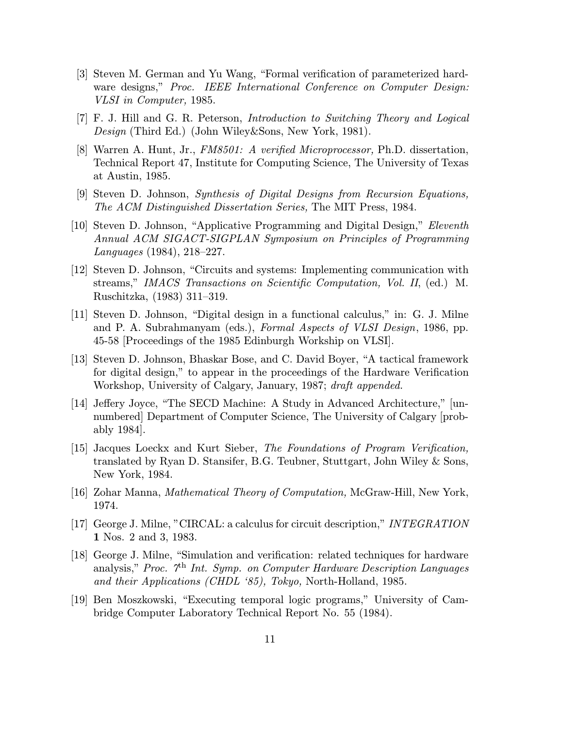- [3] Steven M. German and Yu Wang, "Formal verification of parameterized hardware designs," Proc. IEEE International Conference on Computer Design: VLSI in Computer, 1985.
- [7] F. J. Hill and G. R. Peterson, Introduction to Switching Theory and Logical Design (Third Ed.) (John Wiley&Sons, New York, 1981).
- [8] Warren A. Hunt, Jr., FM8501: A verified Microprocessor, Ph.D. dissertation, Technical Report 47, Institute for Computing Science, The University of Texas at Austin, 1985.
- [9] Steven D. Johnson, Synthesis of Digital Designs from Recursion Equations, The ACM Distinguished Dissertation Series, The MIT Press, 1984.
- [10] Steven D. Johnson, "Applicative Programming and Digital Design," Eleventh Annual ACM SIGACT-SIGPLAN Symposium on Principles of Programming Languages (1984), 218–227.
- [12] Steven D. Johnson, "Circuits and systems: Implementing communication with streams," IMACS Transactions on Scientific Computation, Vol. II, (ed.) M. Ruschitzka, (1983) 311–319.
- [11] Steven D. Johnson, "Digital design in a functional calculus," in: G. J. Milne and P. A. Subrahmanyam (eds.), Formal Aspects of VLSI Design, 1986, pp. 45-58 [Proceedings of the 1985 Edinburgh Workship on VLSI].
- [13] Steven D. Johnson, Bhaskar Bose, and C. David Boyer, "A tactical framework for digital design," to appear in the proceedings of the Hardware Verification Workshop, University of Calgary, January, 1987; draft appended.
- [14] Jeffery Joyce, "The SECD Machine: A Study in Advanced Architecture," [unnumbered] Department of Computer Science, The University of Calgary [probably 1984].
- [15] Jacques Loeckx and Kurt Sieber, The Foundations of Program Verification, translated by Ryan D. Stansifer, B.G. Teubner, Stuttgart, John Wiley & Sons, New York, 1984.
- [16] Zohar Manna, Mathematical Theory of Computation, McGraw-Hill, New York, 1974.
- [17] George J. Milne, "CIRCAL: a calculus for circuit description," INTEGRATION 1 Nos. 2 and 3, 1983.
- [18] George J. Milne, "Simulation and verification: related techniques for hardware analysis," Proc.  $\gamma$ <sup>th</sup> Int. Symp. on Computer Hardware Description Languages and their Applications (CHDL '85), Tokyo, North-Holland, 1985.
- [19] Ben Moszkowski, "Executing temporal logic programs," University of Cambridge Computer Laboratory Technical Report No. 55 (1984).